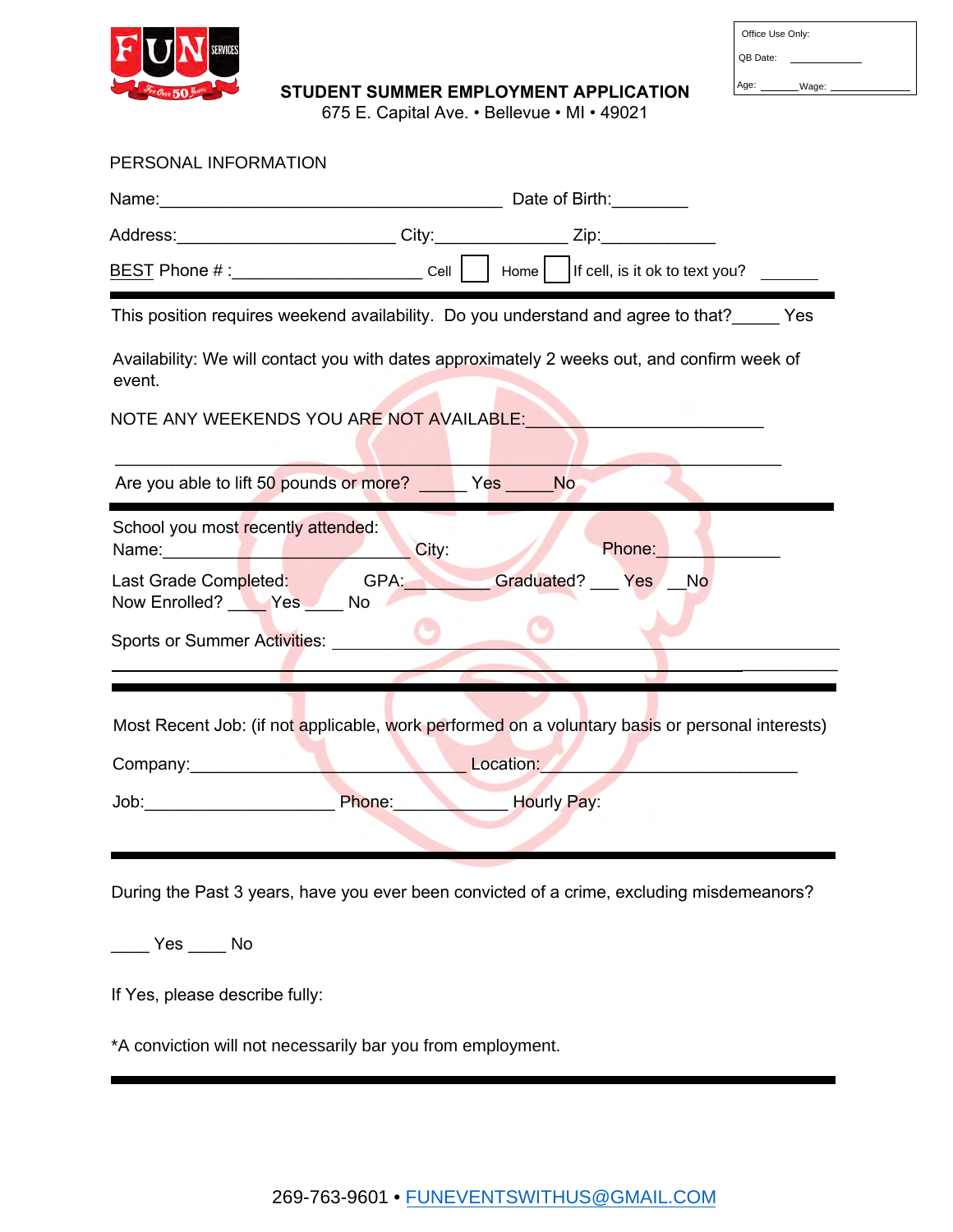

| Office Use Only: |       |  |
|------------------|-------|--|
| QB Date:         |       |  |
| Age:             | Wage: |  |

STUDENT SUMMER EMPLOYMENT APPLICATION

675 E. Capital Ave. • Bellevue • MI • 49021

| PERSONAL INFORMATION                                                                                                                                                                                                                                                                                                                                                                                  |           |             |  |  |  |  |  |
|-------------------------------------------------------------------------------------------------------------------------------------------------------------------------------------------------------------------------------------------------------------------------------------------------------------------------------------------------------------------------------------------------------|-----------|-------------|--|--|--|--|--|
|                                                                                                                                                                                                                                                                                                                                                                                                       |           |             |  |  |  |  |  |
| Address:__________________________City:______________Zip:________________                                                                                                                                                                                                                                                                                                                             |           |             |  |  |  |  |  |
| <u>BEST</u> Phone # :__________________________ Cell $\bigsqcup$ Home $\Bigr $ If cell, is it ok to text you?                                                                                                                                                                                                                                                                                         |           |             |  |  |  |  |  |
| This position requires weekend availability. Do you understand and agree to that?_____ Yes                                                                                                                                                                                                                                                                                                            |           |             |  |  |  |  |  |
| Availability: We will contact you with dates approximately 2 weeks out, and confirm week of<br>event.                                                                                                                                                                                                                                                                                                 |           |             |  |  |  |  |  |
| NOTE ANY WEEKENDS YOU ARE NOT AVAILABLE: AND AND ALL ALL AND ANY WEEKENDS YOU ARE NOT AVAILABLE                                                                                                                                                                                                                                                                                                       |           |             |  |  |  |  |  |
| Are you able to lift 50 pounds or more? Yes No                                                                                                                                                                                                                                                                                                                                                        |           |             |  |  |  |  |  |
| School you most recently attended:<br>Phone:<br>City:<br>Name: Name and the state of the state of the state of the state of the state of the state of the state of the state of the state of the state of the state of the state of the state of the state of the state of the state of<br>Last Grade Completed: GPA: Graduated? __ Yes __ No<br>Now Enrolled? Ves No<br>Sports or Summer Activities: |           |             |  |  |  |  |  |
| Most Recent Job: (if not applicable, work performed on a voluntary basis or personal interests)                                                                                                                                                                                                                                                                                                       |           |             |  |  |  |  |  |
|                                                                                                                                                                                                                                                                                                                                                                                                       | Location: |             |  |  |  |  |  |
| Phone:                                                                                                                                                                                                                                                                                                                                                                                                |           | Hourly Pay: |  |  |  |  |  |
| During the Past 3 years, have you ever been convicted of a crime, excluding misdemeanors?                                                                                                                                                                                                                                                                                                             |           |             |  |  |  |  |  |
|                                                                                                                                                                                                                                                                                                                                                                                                       |           |             |  |  |  |  |  |
| If Yes, please describe fully:                                                                                                                                                                                                                                                                                                                                                                        |           |             |  |  |  |  |  |
| *A conviction will not necessarily bar you from employment.                                                                                                                                                                                                                                                                                                                                           |           |             |  |  |  |  |  |